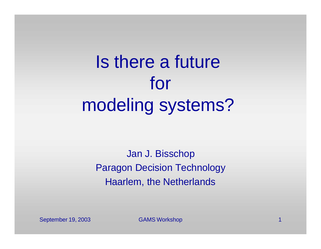Is there a future for modeling systems?

Jan J. Bisschop Paragon Decision Technology Haarlem, the Netherlands

September 19, 2003 GAMS Workshop 1 Australian 1 Australian 1 Australian 1 Australian 1 Australian 1 Australian 1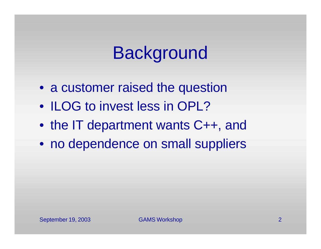### Background

- a customer raised the question
- ILOG to invest less in OPL?
- the IT department wants C++, and
- no dependence on small suppliers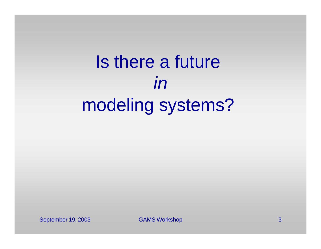# Is there a future *in* modeling systems?

September 19, 2003 GAMS Workshop 3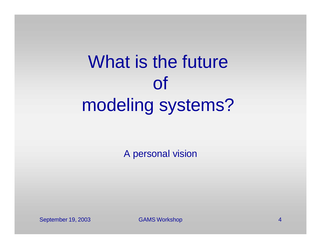# What is the future of modeling systems?

A personal vision

September 19, 2003 GAMS Workshop 4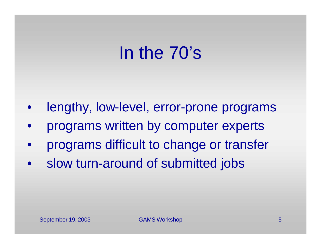#### In the 70's

- lengthy, low-level, error-prone programs
- programs written by computer experts
- programs difficult to change or transfer
- slow turn-around of submitted jobs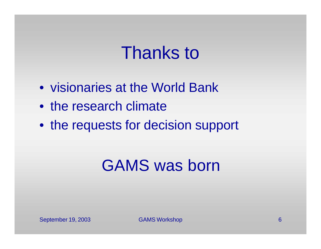#### Thanks to

- visionaries at the World Bank
- the research climate
- the requests for decision support

#### GAMS was born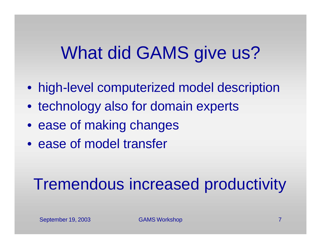# What did GAMS give us?

- high-level computerized model description
- technology also for domain experts
- ease of making changes
- ease of model transfer

#### Tremendous increased productivity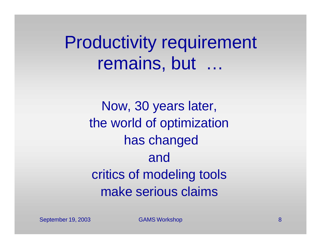Productivity requirement remains, but

> Now, 30 years later, the world of optimization has changed and critics of modeling tools make serious claims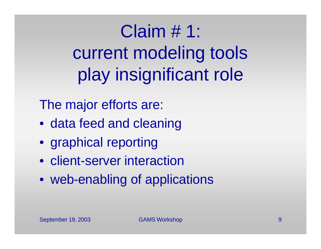Claim # 1: current modeling tools play insignificant role

The major efforts are:

- data feed and cleaning
- graphical reporting
- client-server interaction
- web-enabling of applications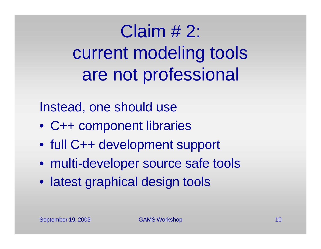Claim # 2: current modeling tools are not professional

Instead, one should use

- C++ component libraries
- full C++ development support
- multi-developer source safe tools
- latest graphical design tools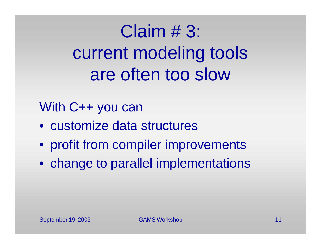Claim # 3: current modeling tools are often too slow

#### With C++ you can

- customize data structures
- profit from compiler improvements
- change to parallel implementations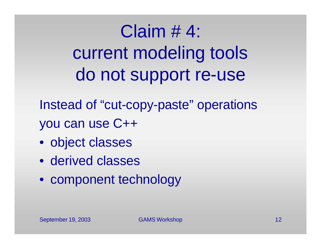Claim # 4: current modeling tools do not support re-use

Instead of "cut-copy-paste" operations you can use C++

- object classes
- derived classes
- component technology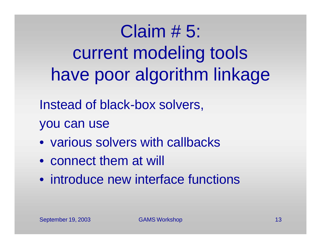Claim # 5: current modeling tools have poor algorithm linkage

Instead of black-box solvers,

you can use

- various solvers with callbacks
- connect them at will
- introduce new interface functions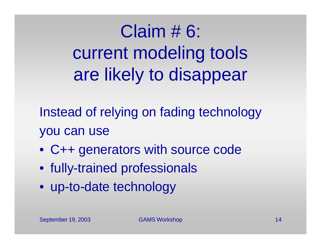Claim # 6: current modeling tools are likely to disappear

Instead of relying on fading technology you can use

- C++ generators with source code
- fully-trained professionals
- up-to-date technology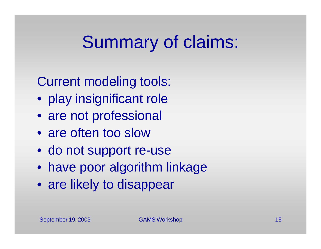# Summary of claims:

Current modeling tools:

- play insignificant role
- are not professional
- are often too slow
- do not support re-use
- have poor algorithm linkage
- are likely to disappear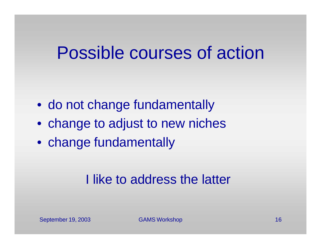#### Possible courses of action

- do not change fundamentally
- change to adjust to new niches
- change fundamentally

#### I like to address the latter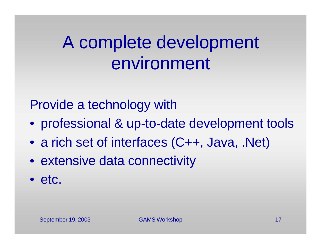## A complete development environment

Provide a technology with

- professional & up-to-date development tools
- a rich set of interfaces (C++, Java, .Net)
- extensive data connectivity
- etc.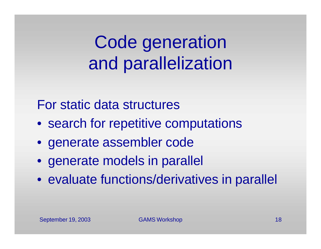Code generation and parallelization

For static data structures

- search for repetitive computations
- generate assembler code
- generate models in parallel
- evaluate functions/derivatives in parallel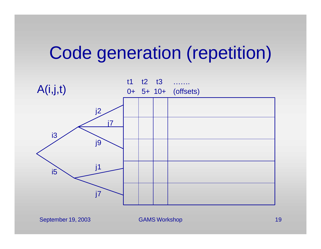### Code generation (repetition)

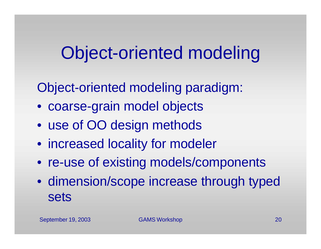Object-oriented modeling paradigm:

- coarse-grain model objects
- use of OO design methods
- increased locality for modeler
- re-use of existing models/components
- dimension/scope increase through typed sets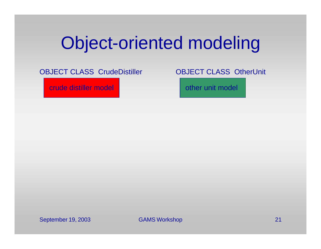OBJECT CLASS CrudeDistiller

crude distiller model

OBJECT CLASS OtherUnit

other unit model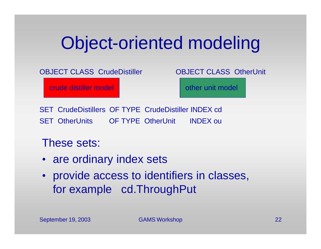OBJECT CLASS CrudeDistiller

crude distiller model

OBJECT CLASS OtherUnit

other unit model

SET CrudeDistillers OF TYPE CrudeDistiller INDEX cd SET OtherUnits OF TYPE OtherUnit INDEX ou

These sets:

- are ordinary index sets
- provide access to identifiers in classes, for example cd.ThroughPut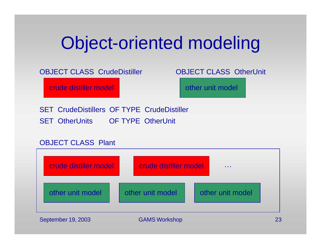#### OBJECT CLASS CrudeDistiller

crude distiller model

#### OBJECT CLASS OtherUnit

other unit model

SET CrudeDistillers OF TYPE CrudeDistiller SET OtherUnits OF TYPE OtherUnit

#### OBJECT CLASS Plant

| crude distiller model | crude distiller model |                  |
|-----------------------|-----------------------|------------------|
| other unit model      | other unit model      | other unit model |

September 19, 2003 GAMS Workshop 23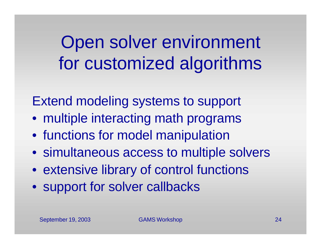Open solver environment for customized algorithms

Extend modeling systems to support

- multiple interacting math programs
- functions for model manipulation
- simultaneous access to multiple solvers
- extensive library of control functions
- support for solver callbacks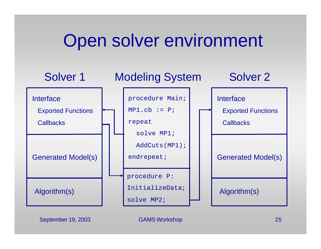### Open solver environment



September 19, 2003 GAMS Workshop 25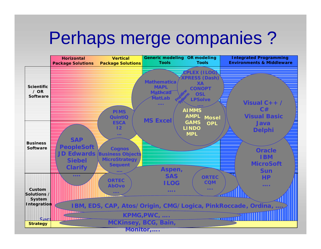#### Perhaps merge companies ?